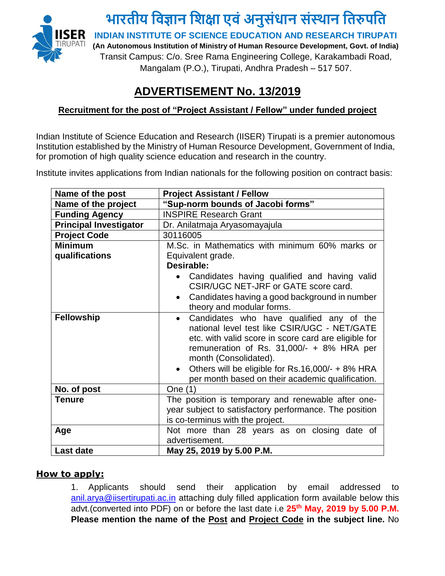

## **ADVERTISEMENT No. 13/2019**

## **Recruitment for the post of "Project Assistant / Fellow" under funded project**

Indian Institute of Science Education and Research (IISER) Tirupati is a premier autonomous Institution established by the Ministry of Human Resource Development, Government of India, for promotion of high quality science education and research in the country.

Institute invites applications from Indian nationals for the following position on contract basis:

| Name of the post              | <b>Project Assistant / Fellow</b>                                                                                                                                                                                                                                                                                                                          |
|-------------------------------|------------------------------------------------------------------------------------------------------------------------------------------------------------------------------------------------------------------------------------------------------------------------------------------------------------------------------------------------------------|
| Name of the project           | "Sup-norm bounds of Jacobi forms"                                                                                                                                                                                                                                                                                                                          |
| <b>Funding Agency</b>         | <b>INSPIRE Research Grant</b>                                                                                                                                                                                                                                                                                                                              |
| <b>Principal Investigator</b> | Dr. Anilatmaja Aryasomayajula                                                                                                                                                                                                                                                                                                                              |
| <b>Project Code</b>           | 30116005                                                                                                                                                                                                                                                                                                                                                   |
| <b>Minimum</b>                | M.Sc. in Mathematics with minimum 60% marks or                                                                                                                                                                                                                                                                                                             |
| qualifications                | Equivalent grade.                                                                                                                                                                                                                                                                                                                                          |
|                               | Desirable:                                                                                                                                                                                                                                                                                                                                                 |
|                               | Candidates having qualified and having valid<br>CSIR/UGC NET-JRF or GATE score card.<br>Candidates having a good background in number<br>$\bullet$<br>theory and modular forms.                                                                                                                                                                            |
|                               |                                                                                                                                                                                                                                                                                                                                                            |
| <b>Fellowship</b>             | Candidates who have qualified any of the<br>$\bullet$<br>national level test like CSIR/UGC - NET/GATE<br>etc. with valid score in score card are eligible for<br>remuneration of Rs. $31,000/- + 8%$ HRA per<br>month (Consolidated).<br>Others will be eligible for Rs.16,000/- + 8% HRA<br>$\bullet$<br>per month based on their academic qualification. |
| No. of post                   | One (1)                                                                                                                                                                                                                                                                                                                                                    |
| <b>Tenure</b>                 | The position is temporary and renewable after one-<br>year subject to satisfactory performance. The position<br>is co-terminus with the project.                                                                                                                                                                                                           |
| Age                           | Not more than 28 years as on closing date of<br>advertisement.                                                                                                                                                                                                                                                                                             |
| <b>Last date</b>              | May 25, 2019 by 5.00 P.M.                                                                                                                                                                                                                                                                                                                                  |

## **How to apply:**

1. Applicants should send their application by email addressed to [anil.arya@iisertirupati.ac.in](mailto:anil.arya@iisertirupati.ac.in) attaching duly filled application form available below this advt.(converted into PDF) on or before the last date i.e **25th May, 2019 by 5.00 P.M. Please mention the name of the Post and Project Code in the subject line.** No